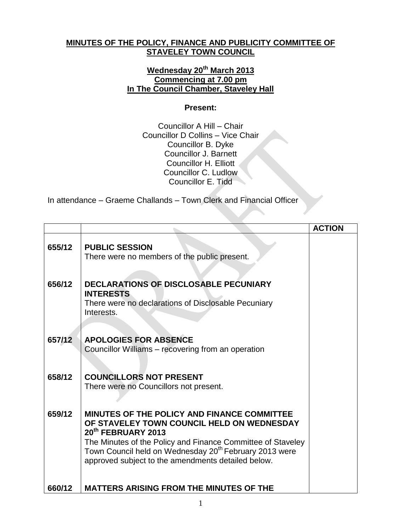## **MINUTES OF THE POLICY, FINANCE AND PUBLICITY COMMITTEE OF STAVELEY TOWN COUNCIL**

## **Wednesday 20th March 2013 Commencing at 7.00 pm In The Council Chamber, Staveley Hall**

## **Present:**

Councillor A Hill – Chair Councillor D Collins – Vice Chair Councillor B. Dyke Councillor J. Barnett Councillor H. Elliott Councillor C. Ludlow Councillor E. Tidd

In attendance – Graeme Challands – Town Clerk and Financial Officer

|        |                                                                                                                                                                                                                                                                                                                        | <b>ACTION</b> |
|--------|------------------------------------------------------------------------------------------------------------------------------------------------------------------------------------------------------------------------------------------------------------------------------------------------------------------------|---------------|
| 655/12 | <b>PUBLIC SESSION</b><br>There were no members of the public present.                                                                                                                                                                                                                                                  |               |
| 656/12 | DECLARATIONS OF DISCLOSABLE PECUNIARY<br><b>INTERESTS</b><br>There were no declarations of Disclosable Pecuniary<br>Interests.                                                                                                                                                                                         |               |
| 657/12 | <b>APOLOGIES FOR ABSENCE</b><br>Councillor Williams - recovering from an operation                                                                                                                                                                                                                                     |               |
| 658/12 | <b>COUNCILLORS NOT PRESENT</b><br>There were no Councillors not present.                                                                                                                                                                                                                                               |               |
| 659/12 | MINUTES OF THE POLICY AND FINANCE COMMITTEE<br>OF STAVELEY TOWN COUNCIL HELD ON WEDNESDAY<br>20 <sup>th</sup> FEBRUARY 2013<br>The Minutes of the Policy and Finance Committee of Staveley<br>Town Council held on Wednesday 20 <sup>th</sup> February 2013 were<br>approved subject to the amendments detailed below. |               |
| 660/12 | <b>MATTERS ARISING FROM THE MINUTES OF THE</b>                                                                                                                                                                                                                                                                         |               |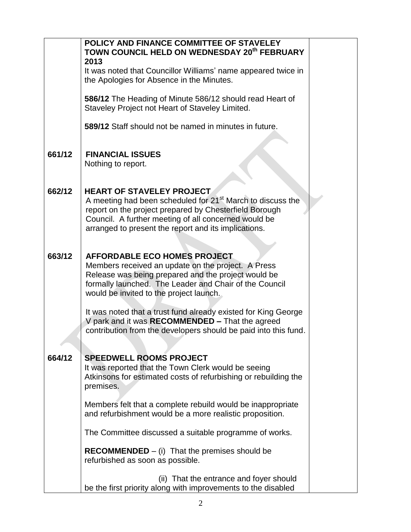|        | POLICY AND FINANCE COMMITTEE OF STAVELEY<br>TOWN COUNCIL HELD ON WEDNESDAY 20th FEBRUARY<br>2013                                                                                                                                                                                     |  |
|--------|--------------------------------------------------------------------------------------------------------------------------------------------------------------------------------------------------------------------------------------------------------------------------------------|--|
|        | It was noted that Councillor Williams' name appeared twice in<br>the Apologies for Absence in the Minutes.                                                                                                                                                                           |  |
|        | 586/12 The Heading of Minute 586/12 should read Heart of<br>Staveley Project not Heart of Staveley Limited.                                                                                                                                                                          |  |
|        | 589/12 Staff should not be named in minutes in future.                                                                                                                                                                                                                               |  |
| 661/12 | <b>FINANCIAL ISSUES</b><br>Nothing to report.                                                                                                                                                                                                                                        |  |
| 662/12 | <b>HEART OF STAVELEY PROJECT</b><br>A meeting had been scheduled for 21 <sup>st</sup> March to discuss the<br>report on the project prepared by Chesterfield Borough<br>Council. A further meeting of all concerned would be<br>arranged to present the report and its implications. |  |
| 663/12 | <b>AFFORDABLE ECO HOMES PROJECT</b><br>Members received an update on the project. A Press<br>Release was being prepared and the project would be<br>formally launched. The Leader and Chair of the Council<br>would be invited to the project launch.                                |  |
|        | It was noted that a trust fund already existed for King George<br>V park and it was RECOMMENDED - That the agreed<br>contribution from the developers should be paid into this fund.                                                                                                 |  |
| 664/12 | <b>SPEEDWELL ROOMS PROJECT</b><br>It was reported that the Town Clerk would be seeing<br>Atkinsons for estimated costs of refurbishing or rebuilding the<br>premises.                                                                                                                |  |
|        | Members felt that a complete rebuild would be inappropriate<br>and refurbishment would be a more realistic proposition.                                                                                                                                                              |  |
|        | The Committee discussed a suitable programme of works.                                                                                                                                                                                                                               |  |
|        | $RECOMMENDED - (i)$ That the premises should be<br>refurbished as soon as possible.                                                                                                                                                                                                  |  |
|        | (ii) That the entrance and foyer should<br>be the first priority along with improvements to the disabled                                                                                                                                                                             |  |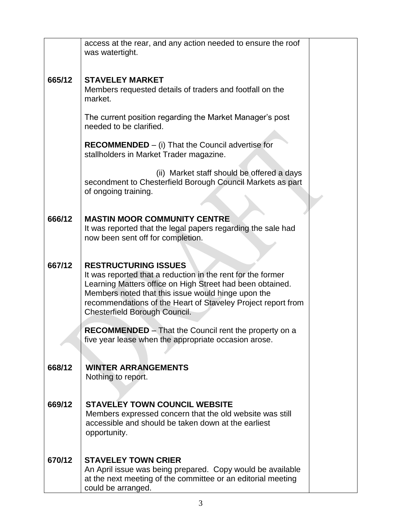|        | access at the rear, and any action needed to ensure the roof<br>was watertight.                                                                                                                                                                                                                                |  |
|--------|----------------------------------------------------------------------------------------------------------------------------------------------------------------------------------------------------------------------------------------------------------------------------------------------------------------|--|
| 665/12 | <b>STAVELEY MARKET</b><br>Members requested details of traders and footfall on the<br>market.                                                                                                                                                                                                                  |  |
|        | The current position regarding the Market Manager's post<br>needed to be clarified.                                                                                                                                                                                                                            |  |
|        | $RECOMMENDED - (i) That the Council advertise for$<br>stallholders in Market Trader magazine.                                                                                                                                                                                                                  |  |
|        | (ii) Market staff should be offered a days<br>secondment to Chesterfield Borough Council Markets as part<br>of ongoing training.                                                                                                                                                                               |  |
| 666/12 | <b>MASTIN MOOR COMMUNITY CENTRE</b><br>It was reported that the legal papers regarding the sale had<br>now been sent off for completion.                                                                                                                                                                       |  |
| 667/12 | <b>RESTRUCTURING ISSUES</b><br>It was reported that a reduction in the rent for the former<br>Learning Matters office on High Street had been obtained.<br>Members noted that this issue would hinge upon the<br>recommendations of the Heart of Staveley Project report from<br>Chesterfield Borough Council. |  |
|        | <b>RECOMMENDED</b> - That the Council rent the property on a<br>five year lease when the appropriate occasion arose.                                                                                                                                                                                           |  |
| 668/12 | <b>WINTER ARRANGEMENTS</b><br>Nothing to report.                                                                                                                                                                                                                                                               |  |
| 669/12 | <b>STAVELEY TOWN COUNCIL WEBSITE</b><br>Members expressed concern that the old website was still<br>accessible and should be taken down at the earliest<br>opportunity.                                                                                                                                        |  |
| 670/12 | <b>STAVELEY TOWN CRIER</b><br>An April issue was being prepared. Copy would be available<br>at the next meeting of the committee or an editorial meeting<br>could be arranged.                                                                                                                                 |  |